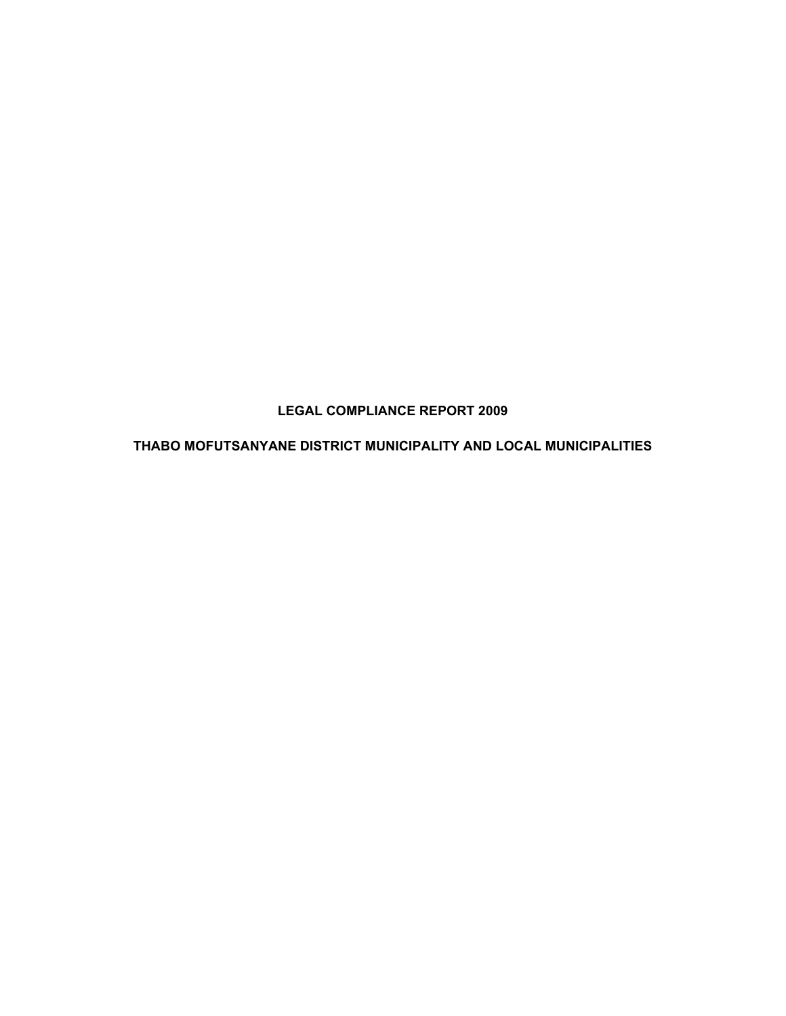**LEGAL COMPLIANCE REPORT 2009** 

**THABO MOFUTSANYANE DISTRICT MUNICIPALITY AND LOCAL MUNICIPALITIES**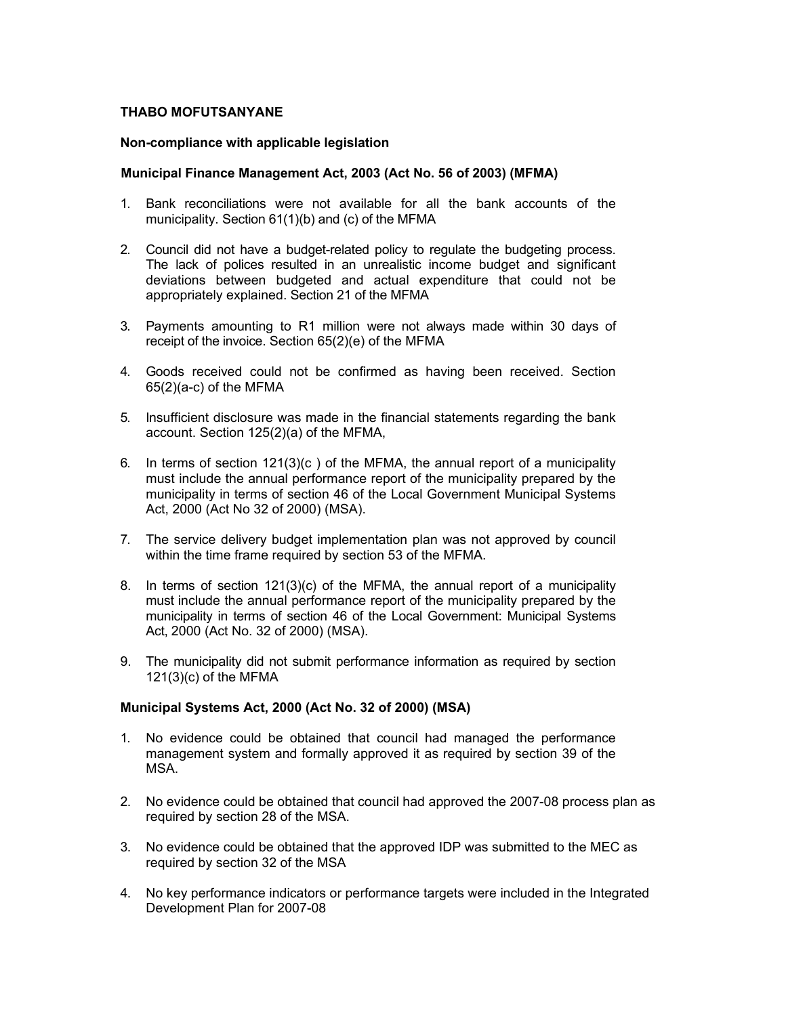### **THABO MOFUTSANYANE**

#### **Non-compliance with applicable legislation**

### **Municipal Finance Management Act, 2003 (Act No. 56 of 2003) (MFMA)**

- 1. Bank reconciliations were not available for all the bank accounts of the municipality. Section 61(1)(b) and (c) of the MFMA
- 2. Council did not have a budget-related policy to regulate the budgeting process. The lack of polices resulted in an unrealistic income budget and significant deviations between budgeted and actual expenditure that could not be appropriately explained. Section 21 of the MFMA
- 3. Payments amounting to R1 million were not always made within 30 days of receipt of the invoice. Section 65(2)(e) of the MFMA
- 4. Goods received could not be confirmed as having been received. Section 65(2)(a-c) of the MFMA
- 5. Insufficient disclosure was made in the financial statements regarding the bank account. Section 125(2)(a) of the MFMA,
- 6. In terms of section 121(3)(c ) of the MFMA, the annual report of a municipality must include the annual performance report of the municipality prepared by the municipality in terms of section 46 of the Local Government Municipal Systems Act, 2000 (Act No 32 of 2000) (MSA).
- 7. The service delivery budget implementation plan was not approved by council within the time frame required by section 53 of the MFMA.
- 8. In terms of section 121(3)(c) of the MFMA, the annual report of a municipality must include the annual performance report of the municipality prepared by the municipality in terms of section 46 of the Local Government: Municipal Systems Act, 2000 (Act No. 32 of 2000) (MSA).
- 9. The municipality did not submit performance information as required by section 121(3)(c) of the MFMA

#### **Municipal Systems Act, 2000 (Act No. 32 of 2000) (MSA)**

- 1. No evidence could be obtained that council had managed the performance management system and formally approved it as required by section 39 of the MSA.
- 2. No evidence could be obtained that council had approved the 2007-08 process plan as required by section 28 of the MSA.
- 3. No evidence could be obtained that the approved IDP was submitted to the MEC as required by section 32 of the MSA
- 4. No key performance indicators or performance targets were included in the Integrated Development Plan for 2007-08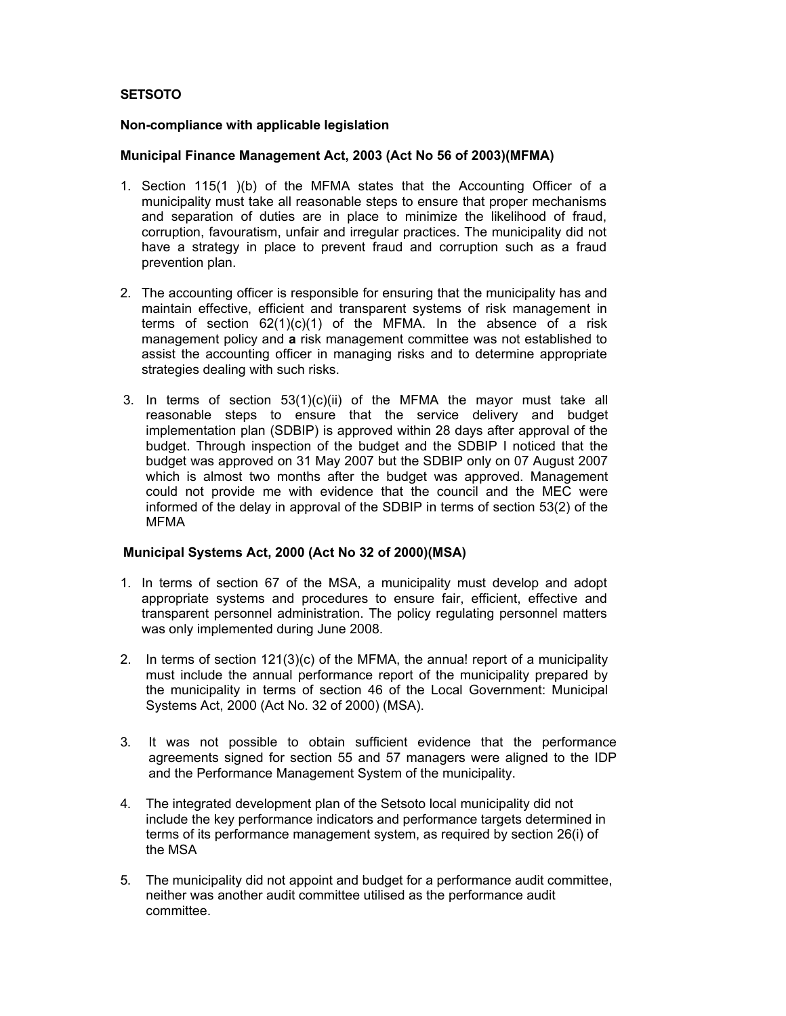# **SETSOTO**

#### **Non-compliance with applicable legislation**

#### **Municipal Finance Management Act, 2003 (Act No 56 of 2003)(MFMA)**

- 1. Section 115(1 )(b) of the MFMA states that the Accounting Officer of a municipality must take all reasonable steps to ensure that proper mechanisms and separation of duties are in place to minimize the likelihood of fraud, corruption, favouratism, unfair and irregular practices. The municipality did not have a strategy in place to prevent fraud and corruption such as a fraud prevention plan.
- 2. The accounting officer is responsible for ensuring that the municipality has and maintain effective, efficient and transparent systems of risk management in terms of section  $62(1)(c)(1)$  of the MFMA. In the absence of a risk management policy and **a** risk management committee was not established to assist the accounting officer in managing risks and to determine appropriate strategies dealing with such risks.
- 3. In terms of section 53(1)(c)(ii) of the MFMA the mayor must take all reasonable steps to ensure that the service delivery and budget implementation plan (SDBIP) is approved within 28 days after approval of the budget. Through inspection of the budget and the SDBIP I noticed that the budget was approved on 31 May 2007 but the SDBIP only on 07 August 2007 which is almost two months after the budget was approved. Management could not provide me with evidence that the council and the MEC were informed of the delay in approval of the SDBIP in terms of section 53(2) of the MFMA

#### **Municipal Systems Act, 2000 (Act No 32 of 2000)(MSA)**

- 1. In terms of section 67 of the MSA, a municipality must develop and adopt appropriate systems and procedures to ensure fair, efficient, effective and transparent personnel administration. The policy regulating personnel matters was only implemented during June 2008.
- 2. In terms of section 121(3)(c) of the MFMA, the annua! report of a municipality must include the annual performance report of the municipality prepared by the municipality in terms of section 46 of the Local Government: Municipal Systems Act, 2000 (Act No. 32 of 2000) (MSA).
- 3. It was not possible to obtain sufficient evidence that the performance agreements signed for section 55 and 57 managers were aligned to the IDP and the Performance Management System of the municipality.
- 4. The integrated development plan of the Setsoto local municipality did not include the key performance indicators and performance targets determined in terms of its performance management system, as required by section 26(i) of the MSA
- 5. The municipality did not appoint and budget for a performance audit committee, neither was another audit committee utilised as the performance audit committee.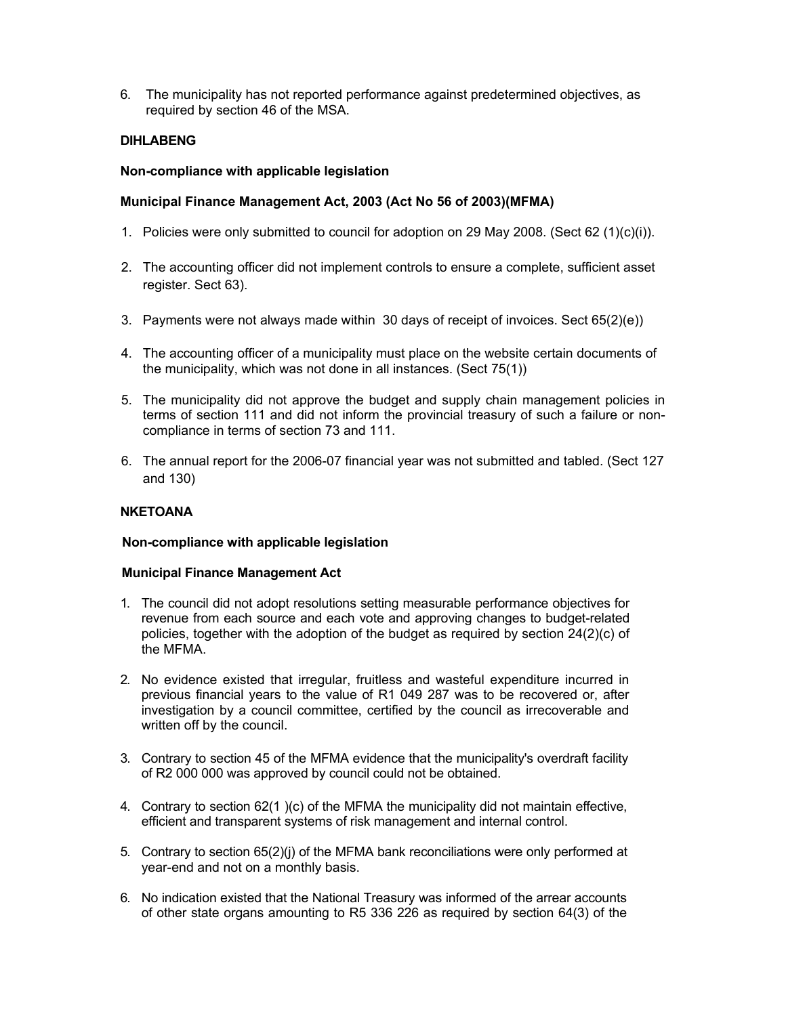6. The municipality has not reported performance against predetermined objectives, as required by section 46 of the MSA.

# **DIHLABENG**

#### **Non-compliance with applicable legislation**

### **Municipal Finance Management Act, 2003 (Act No 56 of 2003)(MFMA)**

- 1. Policies were only submitted to council for adoption on 29 May 2008. (Sect 62 (1)(c)(i)).
- 2. The accounting officer did not implement controls to ensure a complete, sufficient asset register. Sect 63).
- 3. Payments were not always made within 30 days of receipt of invoices. Sect 65(2)(e))
- 4. The accounting officer of a municipality must place on the website certain documents of the municipality, which was not done in all instances. (Sect 75(1))
- 5. The municipality did not approve the budget and supply chain management policies in terms of section 111 and did not inform the provincial treasury of such a failure or noncompliance in terms of section 73 and 111.
- 6. The annual report for the 2006-07 financial year was not submitted and tabled. (Sect 127 and 130)

# **NKETOANA**

#### **Non-compliance with applicable legislation**

#### **Municipal Finance Management Act**

- 1. The council did not adopt resolutions setting measurable performance objectives for revenue from each source and each vote and approving changes to budget-related policies, together with the adoption of the budget as required by section 24(2)(c) of the MFMA.
- 2. No evidence existed that irregular, fruitless and wasteful expenditure incurred in previous financial years to the value of R1 049 287 was to be recovered or, after investigation by a council committee, certified by the council as irrecoverable and written off by the council.
- 3. Contrary to section 45 of the MFMA evidence that the municipality's overdraft facility of R2 000 000 was approved by council could not be obtained.
- 4. Contrary to section 62(1 )(c) of the MFMA the municipality did not maintain effective, efficient and transparent systems of risk management and internal control.
- 5. Contrary to section 65(2)(j) of the MFMA bank reconciliations were only performed at year-end and not on a monthly basis.
- 6. No indication existed that the National Treasury was informed of the arrear accounts of other state organs amounting to R5 336 226 as required by section 64(3) of the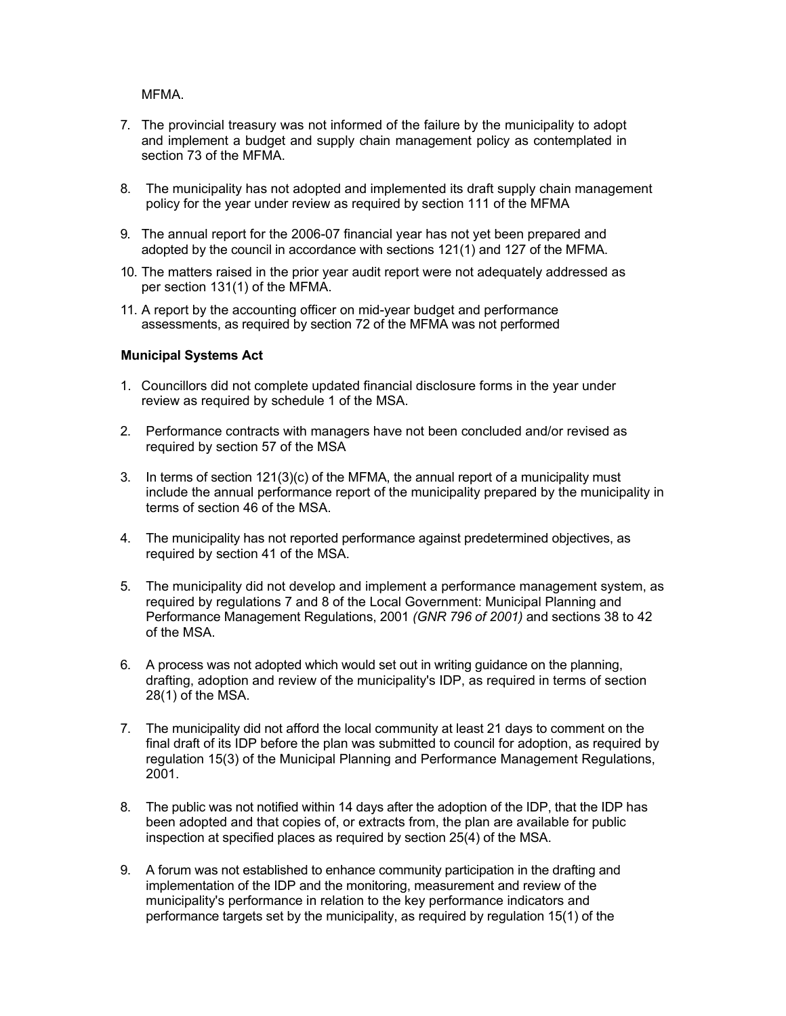MFMA.

- 7. The provincial treasury was not informed of the failure by the municipality to adopt and implement a budget and supply chain management policy as contemplated in section 73 of the MFMA.
- 8. The municipality has not adopted and implemented its draft supply chain management policy for the year under review as required by section 111 of the MFMA
- 9. The annual report for the 2006-07 financial year has not yet been prepared and adopted by the council in accordance with sections 121(1) and 127 of the MFMA.
- 10. The matters raised in the prior year audit report were not adequately addressed as per section 131(1) of the MFMA.
- 11. A report by the accounting officer on mid-year budget and performance assessments, as required by section 72 of the MFMA was not performed

#### **Municipal Systems Act**

- 1. Councillors did not complete updated financial disclosure forms in the year under review as required by schedule 1 of the MSA.
- 2. Performance contracts with managers have not been concluded and/or revised as required by section 57 of the MSA
- 3. In terms of section 121(3)(c) of the MFMA, the annual report of a municipality must include the annual performance report of the municipality prepared by the municipality in terms of section 46 of the MSA.
- 4. The municipality has not reported performance against predetermined objectives, as required by section 41 of the MSA.
- 5. The municipality did not develop and implement a performance management system, as required by regulations 7 and 8 of the Local Government: Municipal Planning and Performance Management Regulations, 2001 *(GNR 796 of 2001)* and sections 38 to 42 of the MSA.
- 6. A process was not adopted which would set out in writing guidance on the planning, drafting, adoption and review of the municipality's IDP, as required in terms of section 28(1) of the MSA.
- 7. The municipality did not afford the local community at least 21 days to comment on the final draft of its IDP before the plan was submitted to council for adoption, as required by regulation 15(3) of the Municipal Planning and Performance Management Regulations, 2001.
- 8. The public was not notified within 14 days after the adoption of the IDP, that the IDP has been adopted and that copies of, or extracts from, the plan are available for public inspection at specified places as required by section 25(4) of the MSA.
- 9. A forum was not established to enhance community participation in the drafting and implementation of the IDP and the monitoring, measurement and review of the municipality's performance in relation to the key performance indicators and performance targets set by the municipality, as required by regulation 15(1) of the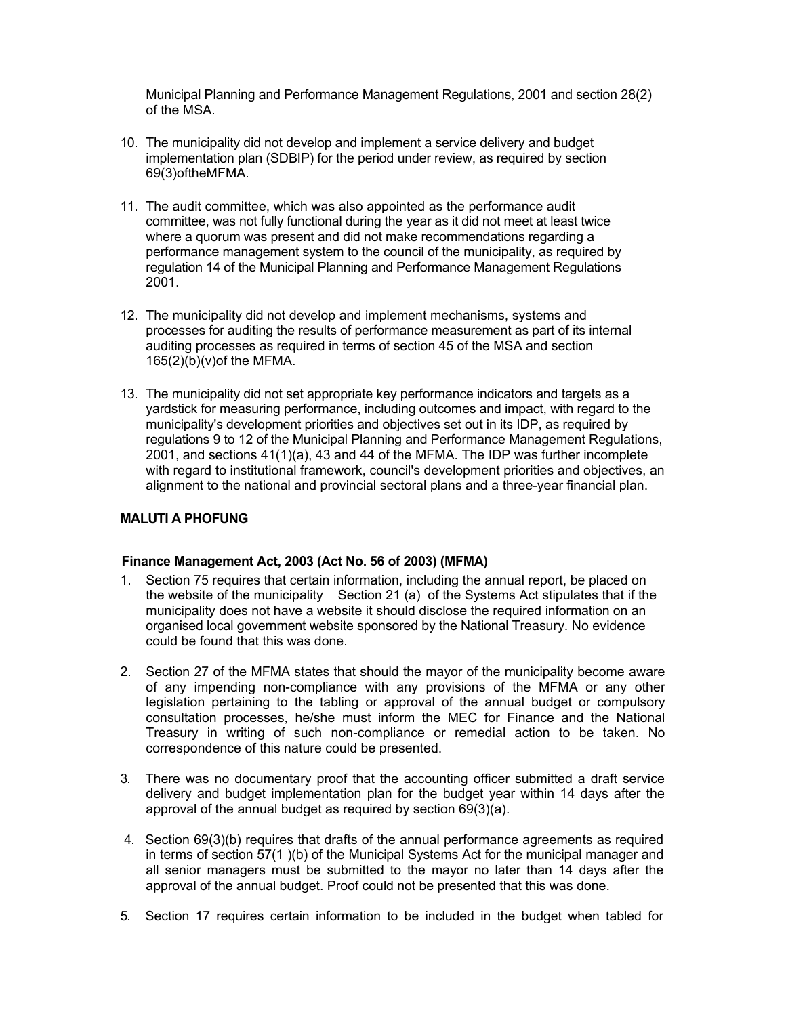Municipal Planning and Performance Management Regulations, 2001 and section 28(2) of the MSA.

- 10. The municipality did not develop and implement a service delivery and budget implementation plan (SDBIP) for the period under review, as required by section 69(3)oftheMFMA.
- 11. The audit committee, which was also appointed as the performance audit committee, was not fully functional during the year as it did not meet at least twice where a quorum was present and did not make recommendations regarding a performance management system to the council of the municipality, as required by regulation 14 of the Municipal Planning and Performance Management Regulations 2001.
- 12. The municipality did not develop and implement mechanisms, systems and processes for auditing the results of performance measurement as part of its internal auditing processes as required in terms of section 45 of the MSA and section 165(2)(b)(v)of the MFMA.
- 13. The municipality did not set appropriate key performance indicators and targets as a yardstick for measuring performance, including outcomes and impact, with regard to the municipality's development priorities and objectives set out in its IDP, as required by regulations 9 to 12 of the Municipal Planning and Performance Management Regulations, 2001, and sections 41(1)(a), 43 and 44 of the MFMA. The IDP was further incomplete with regard to institutional framework, council's development priorities and objectives, an alignment to the national and provincial sectoral plans and a three-year financial plan.

# **MALUTI A PHOFUNG**

# **Finance Management Act, 2003 (Act No. 56 of 2003) (MFMA)**

- 1. Section 75 requires that certain information, including the annual report, be placed on the website of the municipality Section 21 (a) of the Systems Act stipulates that if the municipality does not have a website it should disclose the required information on an organised local government website sponsored by the National Treasury. No evidence could be found that this was done.
- 2. Section 27 of the MFMA states that should the mayor of the municipality become aware of any impending non-compliance with any provisions of the MFMA or any other legislation pertaining to the tabling or approval of the annual budget or compulsory consultation processes, he/she must inform the MEC for Finance and the National Treasury in writing of such non-compliance or remedial action to be taken. No correspondence of this nature could be presented.
- 3. There was no documentary proof that the accounting officer submitted a draft service delivery and budget implementation plan for the budget year within 14 days after the approval of the annual budget as required by section 69(3)(a).
- 4. Section 69(3)(b) requires that drafts of the annual performance agreements as required in terms of section 57(1 )(b) of the Municipal Systems Act for the municipal manager and all senior managers must be submitted to the mayor no later than 14 days after the approval of the annual budget. Proof could not be presented that this was done.
- 5. Section 17 requires certain information to be included in the budget when tabled for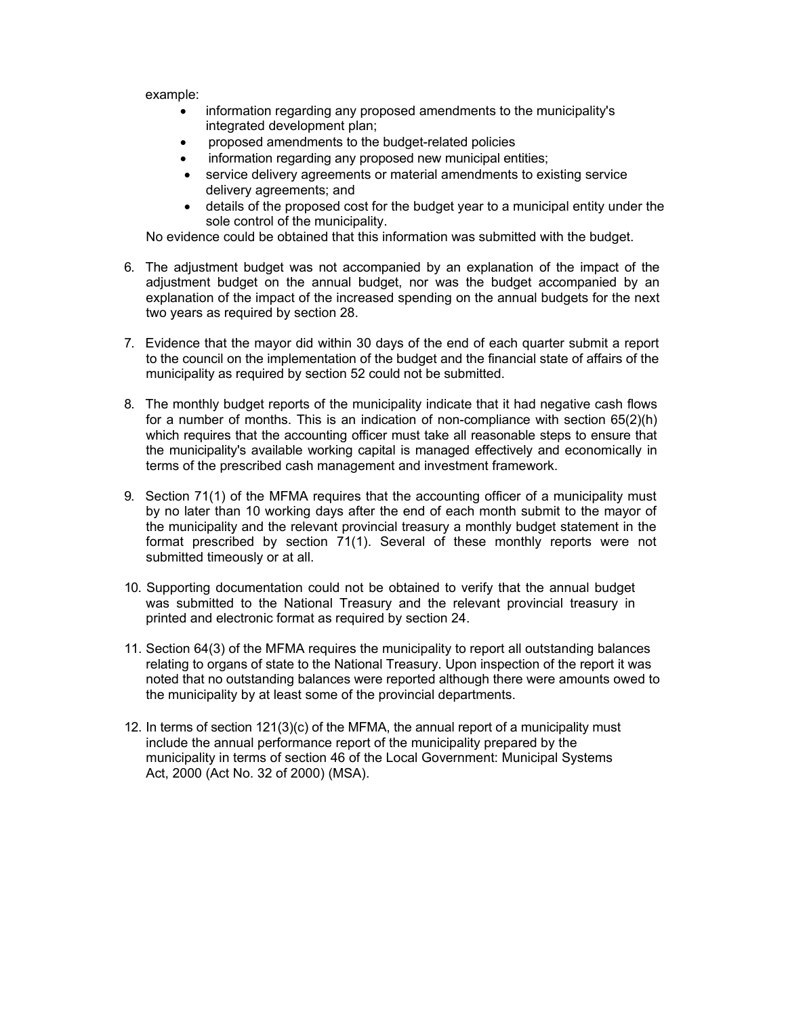example:

- information regarding any proposed amendments to the municipality's integrated development plan;
- proposed amendments to the budget-related policies
- information regarding any proposed new municipal entities;
- service delivery agreements or material amendments to existing service delivery agreements; and
- details of the proposed cost for the budget year to a municipal entity under the sole control of the municipality.

No evidence could be obtained that this information was submitted with the budget.

- 6. The adjustment budget was not accompanied by an explanation of the impact of the adjustment budget on the annual budget, nor was the budget accompanied by an explanation of the impact of the increased spending on the annual budgets for the next two years as required by section 28.
- 7. Evidence that the mayor did within 30 days of the end of each quarter submit a report to the council on the implementation of the budget and the financial state of affairs of the municipality as required by section 52 could not be submitted.
- 8. The monthly budget reports of the municipality indicate that it had negative cash flows for a number of months. This is an indication of non-compliance with section 65(2)(h) which requires that the accounting officer must take all reasonable steps to ensure that the municipality's available working capital is managed effectively and economically in terms of the prescribed cash management and investment framework.
- 9. Section 71(1) of the MFMA requires that the accounting officer of a municipality must by no later than 10 working days after the end of each month submit to the mayor of the municipality and the relevant provincial treasury a monthly budget statement in the format prescribed by section 71(1). Several of these monthly reports were not submitted timeously or at all.
- 10. Supporting documentation could not be obtained to verify that the annual budget was submitted to the National Treasury and the relevant provincial treasury in printed and electronic format as required by section 24.
- 11. Section 64(3) of the MFMA requires the municipality to report all outstanding balances relating to organs of state to the National Treasury. Upon inspection of the report it was noted that no outstanding balances were reported although there were amounts owed to the municipality by at least some of the provincial departments.
- 12. In terms of section 121(3)(c) of the MFMA, the annual report of a municipality must include the annual performance report of the municipality prepared by the municipality in terms of section 46 of the Local Government: Municipal Systems Act, 2000 (Act No. 32 of 2000) (MSA).